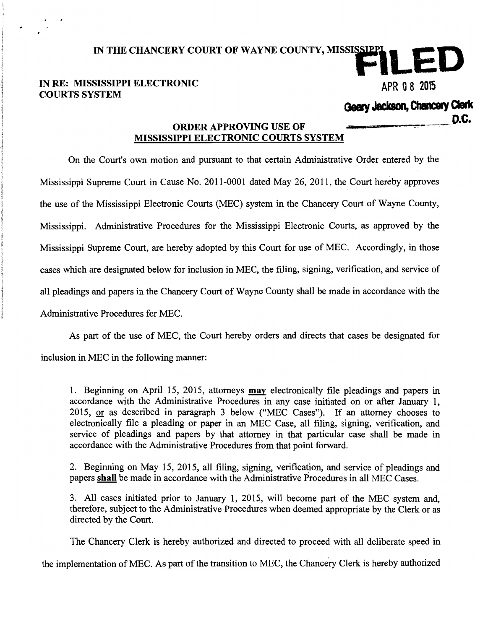## IN RE: MISSISSIPPI ELECTRONIC APR 0 8 2015 COURTS SYSTEM

## **Geary Jackson, Chancery Clerk D.C.** D.C. **D.C. D.C.**

## MISSISSIPPI ELECTRONIC COURTS SYSTEM

IN THE CHANCERY COURT OF WAYNE COUNTY, MISSISSIPPLE

On the Court's own motion and pursuant to that certain Administrative Order entered by the Mississippi Supreme Court in Cause No. 2011-0001 dated May 26, 2011, the Court hereby approves the use of the Mississippi Electronic Courts (MEC) system in the Chancery Court of Wayne County, Mississippi. Administrative Procedures for the Mississippi Electronic Courts, as approved by the Mississippi Supreme Court, are hereby adopted by this Court for use of MEC. Accordingly, in those cases which are designated below for inclusion in MEC, the filing, signing, verification, and service of all pleadings and papers in the Chancery Court of Wayne County shall be made in accordance with the Administrative Procedures for MEC.

As part of the use of MEC, the Court hereby orders and directs that cases be designated for inclusion in MEC in the following manner:

1. Beginning on April 15, 2015, attorneys may electronically file pleadings and papers in accordance with the Administrative Procedures in any case initiated on or after January 1, 2015, or as described in paragraph 3 below ("MEC Cases"). If an attorney chooses to electronically file a pleading or paper in an MEC Case, all filing, signing, verification, and service of pleadings and papers by that attorney in that particular case shall be made in accordance with the Administrative Procedures from that point forward.

2. Beginning on May 15, 2015, all filing, signing, verification, and service of pleadings and papers shall be made in accordance with the Administrative Procedures in all MEC Cases.

3. All cases initiated prior to January 1, 2015, will become part of the MEC system and, therefore, subject to the Administrative Procedures when deemed appropriate by the Clerk or as directed by the Court.

The Chancery Clerk is hereby authorized and directed to proceed with all deliberate speed in

the implementation of MEC. As part of the transition to MEC, the Chancery Clerk is hereby authorized